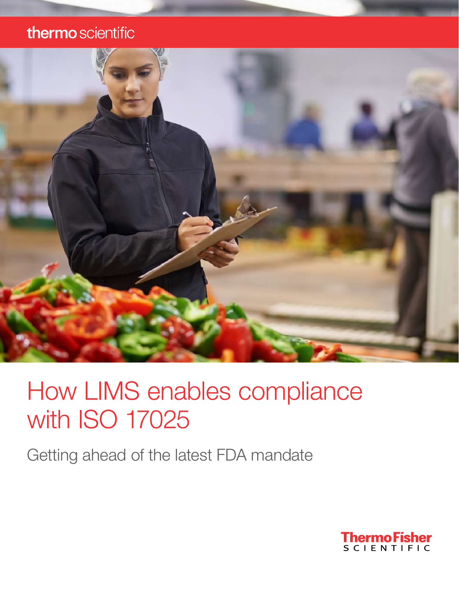### thermo scientific



## How LIMS enables compliance with ISO 17025

Getting ahead of the latest FDA mandate

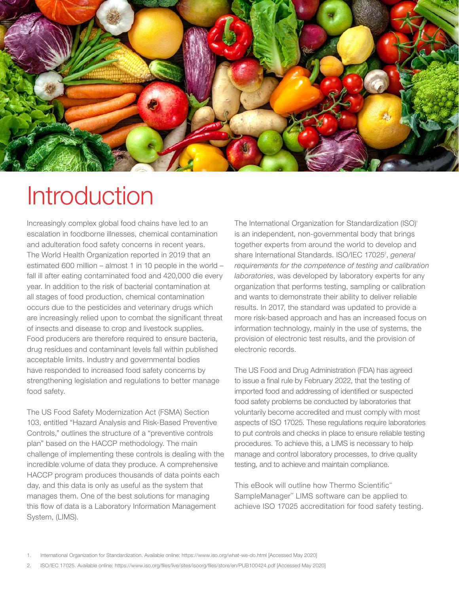

## **Introduction**

Increasingly complex global food chains have led to an escalation in foodborne illnesses, chemical contamination and adulteration food safety concerns in recent years. The World Health Organization reported in 2019 that an estimated 600 million – almost 1 in 10 people in the world – fall ill after eating contaminated food and 420,000 die every year. In addition to the risk of bacterial contamination at all stages of food production, chemical contamination occurs due to the pesticides and veterinary drugs which are increasingly relied upon to combat the significant threat of insects and disease to crop and livestock supplies. Food producers are therefore required to ensure bacteria, drug residues and contaminant levels fall within published acceptable limits. Industry and governmental bodies have responded to increased food safety concerns by strengthening legislation and regulations to better manage food safety.

The US Food Safety Modernization Act (FSMA) Section 103, entitled "Hazard Analysis and Risk-Based Preventive Controls," outlines the structure of a "preventive controls plan" based on the HACCP methodology. The main challenge of implementing these controls is dealing with the incredible volume of data they produce. A comprehensive HACCP program produces thousands of data points each day, and this data is only as useful as the system that manages them. One of the best solutions for managing this flow of data is a Laboratory Information Management System, (LIMS).

The International Organization for Standardization (ISO)<sup>1</sup> is an independent, non-governmental body that brings together experts from around the world to develop and share International Standards. ISO/IEC 17025<sup>2</sup>, general *requirements for the competence of testing and calibration laboratories*, was developed by laboratory experts for any organization that performs testing, sampling or calibration and wants to demonstrate their ability to deliver reliable results. In 2017, the standard was updated to provide a more risk-based approach and has an increased focus on information technology, mainly in the use of systems, the provision of electronic test results, and the provision of electronic records.

The US Food and Drug Administration (FDA) has agreed to issue a final rule by February 2022, that the testing of imported food and addressing of identified or suspected food safety problems be conducted by laboratories that voluntarily become accredited and must comply with most aspects of ISO 17025. These regulations require laboratories to put controls and checks in place to ensure reliable testing procedures. To achieve this, a LIMS is necessary to help manage and control laboratory processes, to drive quality testing, and to achieve and maintain compliance.

This eBook will outline how Thermo Scientific™ SampleManager™ LIMS software can be applied to achieve ISO 17025 accreditation for food safety testing.

- 1. International Organization for Standardization. Available online:<https://www.iso.org/what-we-do.html> [Accessed May 2020]
- 2. ISO/IEC 17025. Available online:<https://www.iso.org/files/live/sites/isoorg/files/store/en/PUB100424.pdf> [Accessed May 2020]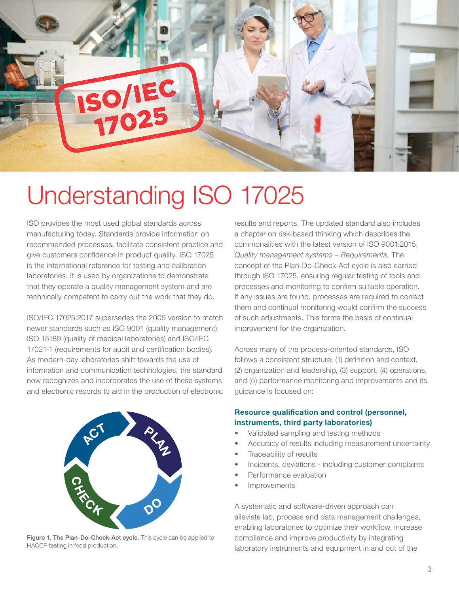

## Understanding ISO 17025

ISO provides the most used global standards across manufacturing today. Standards provide information on recommended processes, facilitate consistent practice and give customers confidence in product quality. ISO 17025 is the international reference for testing and calibration laboratories. It is used by organizations to demonstrate that they operate a quality management system and are technically competent to carry out the work that they do.

ISO/IEC 17025:2017 supersedes the 2005 version to match newer standards such as ISO 9001 (quality management), ISO 15189 (quality of medical laboratories) and ISO/IEC 17021-1 (requirements for audit and certification bodies). As modern-day laboratories shift towards the use of information and communication technologies, the standard now recognizes and incorporates the use of these systems and electronic records to aid in the production of electronic



Figure 1. The Plan-Do-Check-Act cycle. This cycle can be applied to HACCP testing in food production.

results and reports. The updated standard also includes a chapter on risk-based thinking which describes the commonalities with the latest version of ISO 9001:2015, *Quality management systems – Requirements.* The concept of the Plan-Do-Check-Act cycle is also carried through ISO 17025, ensuring regular testing of tools and processes and monitoring to confirm suitable operation. If any issues are found, processes are required to correct them and continual monitoring would confirm the success of such adjustments. This forms the basis of continual improvement for the organization.

Across many of the process-oriented standards, ISO follows a consistent structure; (1) definition and context, (2) organization and leadership, (3) support, (4) operations, and (5) performance monitoring and improvements and its guidance is focused on:

#### Resource qualification and control (personnel, instruments, third party laboratories)

- Validated sampling and testing methods
- Accuracy of results including measurement uncertainty
- Traceability of results
- Incidents, deviations including customer complaints
- Performance evaluation
- **Improvements**

A systematic and software-driven approach can alleviate lab, process and data management challenges, enabling laboratories to optimize their workflow, increase compliance and improve productivity by integrating laboratory instruments and equipment in and out of the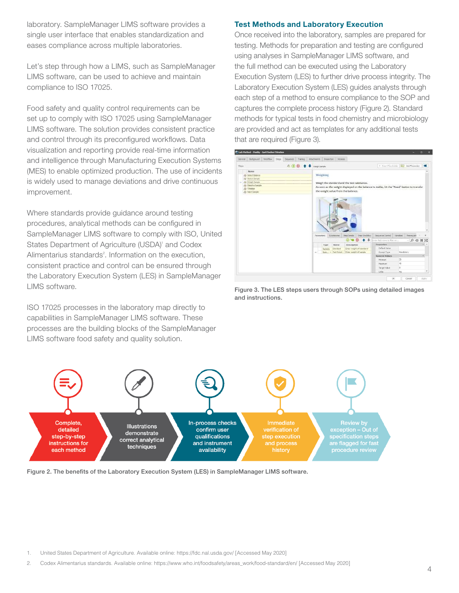laboratory. SampleManager LIMS software provides a single user interface that enables standardization and eases compliance across multiple laboratories.

Let's step through how a LIMS, such as SampleManager LIMS software, can be used to achieve and maintain compliance to ISO 17025.

Food safety and quality control requirements can be set up to comply with ISO 17025 using SampleManager LIMS software. The solution provides consistent practice and control through its preconfigured workflows. Data visualization and reporting provide real-time information and intelligence through Manufacturing Execution Systems (MES) to enable optimized production. The use of incidents is widely used to manage deviations and drive continuous improvement.

Where standards provide guidance around testing procedures, analytical methods can be configured in SampleManager LIMS software to comply with ISO, United States Department of Agriculture (USDA)<sup>1</sup> and Codex Alimentarius standards<sup>2</sup>. Information on the execution, consistent practice and control can be ensured through the Laboratory Execution System (LES) in SampleManager LIMS software.

ISO 17025 processes in the laboratory map directly to capabilities in SampleManager LIMS software. These processes are the building blocks of the SampleManager LIMS software food safety and quality solution.

#### Test Methods and Laboratory Execution

Once received into the laboratory, samples are prepared for testing. Methods for preparation and testing are configured using analyses in SampleManager LIMS software, and the full method can be executed using the Laboratory Execution System (LES) to further drive process integrity. The Laboratory Execution System (LES) guides analysts through each step of a method to ensure compliance to the SOP and captures the complete process history (Figure 2). Standard methods for typical tests in food chemistry and microbiology are provided and act as templates for any additional tests that are required (Figure 3).



Figure 3. The LES steps users through SOPs using detailed images and instructions.



Figure 2. The benefits of the Laboratory Execution System (LES) in SampleManager LIMS software.

1. United States Department of Agriculture. Available online: <https://fdc.nal.usda.gov/>[Accessed May 2020]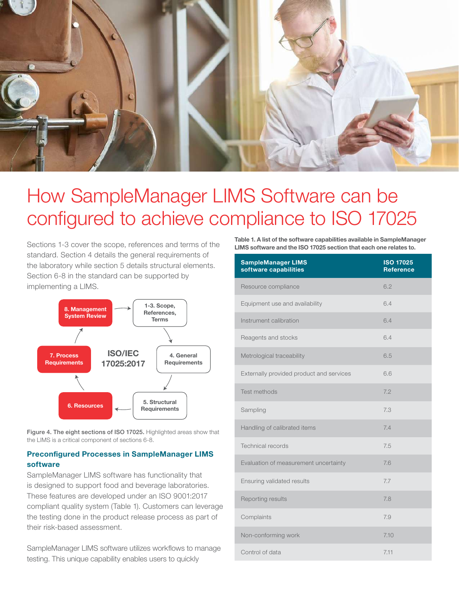

## How SampleManager LIMS Software can be configured to achieve compliance to ISO 17025

Sections 1-3 cover the scope, references and terms of the standard. Section 4 details the general requirements of the laboratory while section 5 details structural elements. Section 6-8 in the standard can be supported by implementing a LIMS.



Figure 4. The eight sections of ISO 17025. Highlighted areas show that the LIMS is a critical component of sections 6-8.

#### Preconfigured Processes in SampleManager LIMS software

SampleManager LIMS software has functionality that is designed to support food and beverage laboratories. These features are developed under an ISO 9001:2017 compliant quality system (Table 1). Customers can leverage the testing done in the product release process as part of their risk-based assessment.

SampleManager LIMS software utilizes workflows to manage testing. This unique capability enables users to quickly

Table 1. A list of the software capabilities available in SampleManager LIMS software and the ISO 17025 section that each one relates to.

| <b>SampleManager LIMS</b><br>software capabilities | <b>ISO 17025</b><br>Reference |
|----------------------------------------------------|-------------------------------|
| Resource compliance                                | 6.2                           |
| Equipment use and availability                     | 6.4                           |
| Instrument calibration                             | 6.4                           |
| Reagents and stocks                                | 6.4                           |
| Metrological traceability                          | 6.5                           |
| Externally provided product and services           | 6.6                           |
| Test methods                                       | 7.2                           |
| Sampling                                           | 7.3                           |
| Handling of calibrated items                       | 7.4                           |
| Technical records                                  | 7.5                           |
| Evaluation of measurement uncertainty              | 7.6                           |
| Ensuring validated results                         | 7.7                           |
| Reporting results                                  | 7.8                           |
| Complaints                                         | 7.9                           |
| Non-conforming work                                | 7.10                          |
| Control of data                                    | 7.11                          |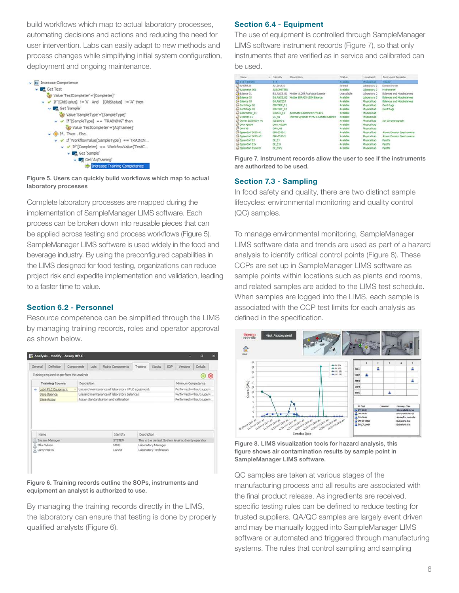build workflows which map to actual laboratory processes, automating decisions and actions and reducing the need for user intervention. Labs can easily adapt to new methods and process changes while simplifying initial system configuration, deployment and ongoing maintenance.



Figure 5. Users can quickly build workflows which map to actual laboratory processes

Complete laboratory processes are mapped during the implementation of SampleManager LIMS software. Each process can be broken down into reusable pieces that can be applied across testing and process workflows (Figure 5). SampleManager LIMS software is used widely in the food and beverage industry. By using the preconfigured capabilities in the LIMS designed for food testing, organizations can reduce project risk and expedite implementation and validation, leading to a faster time to value.

#### Section 6.2 - Personnel

Resource competence can be simplified through the LIMS by managing training records, roles and operator approval as shown below.

| General                               | Definition                                 |  |                                       | Components | Lists                                                                         | Matrix Components                          | Training    | Stacks                | SOP                       | Versions                                            | <b>Details</b> |          |
|---------------------------------------|--------------------------------------------|--|---------------------------------------|------------|-------------------------------------------------------------------------------|--------------------------------------------|-------------|-----------------------|---------------------------|-----------------------------------------------------|----------------|----------|
|                                       | Training required to perform this analysis |  |                                       |            |                                                                               |                                            |             |                       |                           |                                                     | ÷              | $\infty$ |
| <b>Training Course</b><br>Description |                                            |  |                                       |            |                                                                               |                                            |             |                       |                           | Minimum Competence                                  |                |          |
| Lab HPLC Equipment<br>÷.<br>÷         |                                            |  |                                       |            | Performed without superv<br>Use and maintenance of laboratory HPLC equipment. |                                            |             |                       |                           |                                                     |                |          |
|                                       | Base Balance                               |  |                                       |            |                                                                               | Use and maintenance of laboratory balances |             |                       |                           | Performed without superv                            |                |          |
| Base Assay                            |                                            |  | Assay standardisation and calibration |            |                                                                               |                                            |             |                       | Performed without superv. |                                                     |                |          |
|                                       |                                            |  |                                       |            |                                                                               |                                            |             |                       |                           |                                                     |                |          |
|                                       |                                            |  |                                       |            |                                                                               |                                            |             |                       |                           |                                                     |                |          |
|                                       | Name                                       |  |                                       |            |                                                                               | Identity                                   | Description |                       |                           |                                                     |                |          |
| 52                                    | System Manager                             |  |                                       |            |                                                                               | <b>SYSTEM</b>                              |             |                       |                           | This is the default System level authority operator |                |          |
|                                       | R Mke Wison                                |  |                                       |            |                                                                               | MDOE                                       |             | Laboratory Manager    |                           |                                                     |                |          |
|                                       | <b>Q</b> Larry Morris                      |  |                                       |            |                                                                               | LARRY                                      |             | Laboratory Technician |                           |                                                     |                |          |

Figure 6. Training records outline the SOPs, instruments and equipment an analyst is authorized to use.

By managing the training records directly in the LIMS, the laboratory can ensure that testing is done by properly qualified analysts (Figure 6).

#### Section 6.4 - Equipment

The use of equipment is controlled through SampleManager LIMS software instrument records (Figure 7), so that only instruments that are verified as in service and calibrated can be used.

| Name <sup>1</sup>                      | <b>SC</b> | Identity          | Description                             | <b>Status</b>   | Location id  | Instrument template:        |
|----------------------------------------|-----------|-------------------|-----------------------------------------|-----------------|--------------|-----------------------------|
| AD 814-1 Titrator                      |           | 314.1             |                                         | Australie       | Physical Lab | Titrator                    |
| <b>CELAP DIALIS</b>                    |           | AP DMA35          |                                         | Retred          | Laboratory 2 | Density Meter               |
| Like Ar Incented CO1                   |           | <b>ARACKETER1</b> |                                         | Avainble        | Laboratory 2 | Hydrometer                  |
| Guidance 01                            |           | <b>BALANCE 01</b> | Mettler AL204 Analytical Balance        | Unavalable      | Laboratory 2 | Balances and Mizrobalances  |
| ST Balance 02                          |           | <b>BALANCE 02</b> | Mettler 88A425-15SM Balance             | Avalable        | Laboratory 2 | Balances and Microbalances  |
| GA Balance 03                          |           | <b>EALANCEO3</b>  |                                         | Avaiable        | Physical Lab | fisiances and Mcrobalances  |
| GN Centrifuge 01                       |           | CENTRIF 01        |                                         | Avaiable        | Physical Lab | Centrifuge                  |
| Gill Centrifuge 02                     |           | CENTRIF 02        |                                         | Avalable        | Physical Lab | Centrifuge                  |
| GN Colorimeter 01                      |           | COLOR 01          | Automatic Colorimeter PPX195            | Avalable        | Physical Lab |                             |
| Gli Cytomat 01                         |           | CC 01             | Therma Cytomat 44 HC-5 Climatic Cabinet | Avalable        | Physical Lab |                             |
| GRI Dionex 0055000+ #1                 |           | 1055000-1         |                                         | Avalable        | Physical Lab | fon Chromatograph.          |
| <b>ARCORA 4500M</b>                    |           | DMA 4500M         |                                         | <b>Avalable</b> | Physical Lab |                             |
| <b>CAN CARA 48</b>                     |           | DMA 48            |                                         | Avalable        | Physical Lab |                             |
| GM Ecoendorf 5055 #1                   |           | EPP-5055-1        |                                         | Avalable        | Physical Lab | Atomc Emisson Spectrometer  |
| GN Eppendorf 5055 #2                   |           | EPP-5055-2        |                                         | Avalable        | Physical Lab | Atomic Emsison Spectrometer |
| GN-Eppendorf E3                        |           | EP. E3            |                                         | Available       | Physical Lab | Proette                     |
| <b><i><u>úM Ecoendorf Elix</u></i></b> |           | <b>EP EIX</b>     |                                         | Avaiable        | Physical Lab | Poette                      |
| <b><i>GRI Expendorf Explorer</i></b>   |           | <b>IP_DPL</b>     |                                         | Avalable        | Physical Lab | Proettle                    |

Figure 7. Instrument records allow the user to see if the instruments are authorized to be used.

#### Section 7.3 - Sampling

In food safety and quality, there are two distinct sample lifecycles: environmental monitoring and quality control (QC) samples.

To manage environmental monitoring, SampleManager LIMS software data and trends are used as part of a hazard analysis to identify critical control points (Figure 8). These CCPs are set up in SampleManager LIMS software as sample points within locations such as plants and rooms, and related samples are added to the LIMS test schedule. When samples are logged into the LIMS, each sample is associated with the CCP test limits for each analysis as defined in the specification.



Figure 8. LIMS visualization tools for hazard analysis, this figure shows air contamination results by sample point in SampleManager LIMS software.

QC samples are taken at various stages of the manufacturing process and all results are associated with the final product release. As ingredients are received, specific testing rules can be defined to reduce testing for trusted suppliers. QA/QC samples are largely event driven and may be manually logged into SampleManager LIMS software or automated and triggered through manufacturing systems. The rules that control sampling and sampling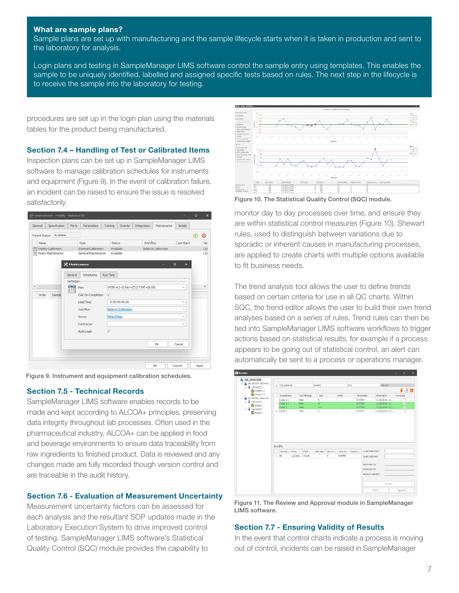#### What are sample plans?

Sample plans are set up with manufacturing and the sample lifecycle starts when it is taken in production and sent to the laboratory for analysis.

Login plans and testing in SampleManager LIMS software control the sample entry using templates. This enables the sample to be uniquely identified, labelled and assigned specific tests based on rules. The next step in the lifecycle is to receive the sample into the laboratory for testing.

procedures are set up in the login plan using the materials tables for the product being manufactured.

#### Section 7.4 – Handling of Test or Calibrated Items

Inspection plans can be set up in SampleManager LIMS software to manage calibration schedules for instruments and equipment (Figure 9). In the event of calibration failure, an incident can be raised to ensure the issue is resolved satisfactorily.

| General | Specification                | <b>Parts</b>  | Parameters           | Training                 |            | <b>Events</b>              | Integration                     | Maintenance               | <b>Details</b>         |   |     |
|---------|------------------------------|---------------|----------------------|--------------------------|------------|----------------------------|---------------------------------|---------------------------|------------------------|---|-----|
|         | Parent Status Available      |               |                      |                          |            |                            |                                 |                           |                        | ⊕ | ⊗   |
| Name    |                              |               | Type                 |                          | Status     |                            |                                 | Workflow                  | Last Maint             |   | Ne  |
|         | <b>XX</b> Weekly Calibration |               | Internal Calbration  |                          | Available  |                            |                                 | <b>Balance Calbration</b> |                        |   | 13/ |
|         | Yearly Maintenance           |               | General Maintenance  |                          | Avalable   |                            |                                 |                           |                        |   | 13/ |
|         |                              |               |                      |                          |            |                            |                                 |                           |                        |   |     |
|         |                              | 犬 Maintenance |                      |                          |            |                            |                                 |                           | $\mathbf{x}$<br>$\Box$ |   |     |
|         |                              | General       | Scheduling           | <b>Run Time</b>          |            |                            |                                 |                           |                        |   |     |
|         |                              | Definition    |                      |                          |            |                            |                                 |                           |                        |   |     |
| ٠       |                              | 當             | Plan                 |                          |            |                            | WEEK=(1-5) DAY=(TU) TIME=(8:00) |                           | ×                      |   | ٠   |
| Order.  | Sample                       |               | Calc On Completion / |                          |            |                            |                                 |                           |                        |   |     |
|         |                              |               | Lead Time            |                          |            | 000:00:00.00               |                                 |                           | ۰                      |   |     |
|         |                              |               | Workflow             |                          |            | <b>Balance Calibration</b> |                                 |                           | ÷                      |   |     |
|         |                              |               | Owner                |                          | Mike Wison |                            |                                 |                           | ×.                     |   |     |
|         |                              |               | Contractor           |                          |            |                            |                                 |                           | ٠                      |   |     |
|         |                              |               | Auto Login           | $\overline{\mathcal{L}}$ |            |                            |                                 |                           |                        |   |     |
|         |                              |               |                      |                          |            |                            |                                 |                           |                        |   |     |
|         |                              |               |                      |                          |            |                            |                                 | $\alpha$                  | Cancel                 |   |     |
|         |                              |               |                      |                          |            |                            |                                 |                           |                        |   |     |
|         |                              |               |                      |                          |            |                            |                                 |                           |                        |   |     |

Figure 9. Instrument and equipment calibration schedules.

#### Section 7.5 - Technical Records

SampleManager LIMS software enables records to be made and kept according to ALCOA+ principles, preserving data integrity throughout lab processes. Often used in the pharmaceutical industry, ALCOA+ can be applied in food and beverage environments to ensure data traceability from raw ingredients to finished product. Data is reviewed and any changes made are fully recorded though version control and are traceable in the audit history.

#### Section 7.6 - Evaluation of Measurement Uncertainty

Measurement uncertainty factors can be assessed for each analysis and the resultant SOP updates made in the Laboratory Execution System to drive improved control of testing. SampleManager LIMS software's Statistical Quality Control (SQC) module provides the capability to



Figure 10. The Statistical Quality Control (SQC) module.

monitor day to day processes over time, and ensure they are within statistical control measures (Figure 10). Shewart rules, used to distinguish between variations due to sporadic or inherent causes in manufacturing processes, are applied to create charts with multiple options available to fit business needs.

The trend analysis tool allows the user to define trends based on certain criteria for use in all QC charts. Within SQC, the trend editor allows the user to build their own trend analyses based on a series of rules. Trend rules can then be tied into SampleManager LIMS software workflows to trigger actions based on statistical results, for example if a process appears to be going out of statistical control, an alert can automatically be sent to a process or operations manager.



Figure 11. The Review and Approval module in SampleManager LIMS software.

#### Section 7.7 - Ensuring Validity of Results

In the event that control charts indicate a process is moving out of control, incidents can be raised in SampleManager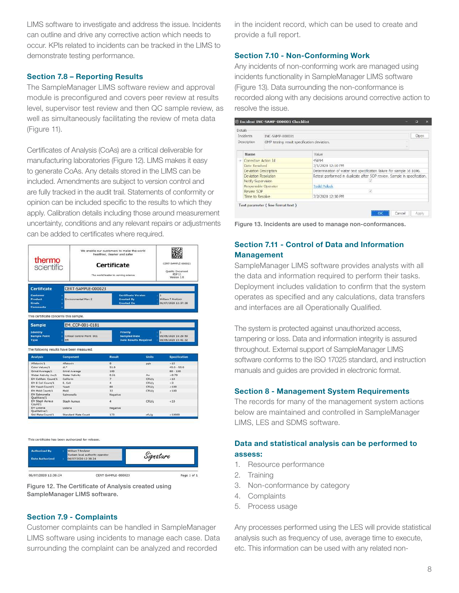LIMS software to investigate and address the issue. Incidents can outline and drive any corrective action which needs to occur. KPIs related to incidents can be tracked in the LIMS to demonstrate testing performance.

#### Section 7.8 – Reporting Results

The SampleManager LIMS software review and approval module is preconfigured and covers peer review at results level, supervisor test review and then QC sample review, as well as simultaneously facilitating the review of meta data (Figure 11).

Certificates of Analysis (CoAs) are a critical deliverable for manufacturing laboratories (Figure 12). LIMS makes it easy to generate CoAs. Any details stored in the LIMS can be included. Amendments are subject to version control and are fully tracked in the audit trail. Statements of conformity or opinion can be included specific to the results to which they apply. Calibration details including those around measurement uncertainty, conditions and any relevant repairs or adjustments can be added to certificates where required.

| thermo<br>scientific                                                                                                                                              |                                           | We enable our customers to make the world<br>healthier, cleaner and safer.<br>Certificate<br>The world leader in serving science |                              |                                            |  |
|-------------------------------------------------------------------------------------------------------------------------------------------------------------------|-------------------------------------------|----------------------------------------------------------------------------------------------------------------------------------|------------------------------|--------------------------------------------|--|
| <b>Certificate</b>                                                                                                                                                | CERT-SAMPLE-000023                        |                                                                                                                                  |                              |                                            |  |
| Customer<br><b>Product</b><br>Grade<br><b>Comments</b>                                                                                                            | Environmental Mon 2                       | <b>Certificate Version</b><br><b>Created By</b><br><b>Created On</b>                                                             |                              | William T Analyser<br>06/07/2020 12:37:38  |  |
| This certificate concerns this sample.                                                                                                                            |                                           |                                                                                                                                  |                              |                                            |  |
| <b>Sample</b>                                                                                                                                                     | EM CCP-001-0181                           |                                                                                                                                  |                              |                                            |  |
| <b>Identity</b><br><b>Sample Point</b><br><b>Type</b>                                                                                                             | Critical Control Point 001<br>¥<br>EM     | <b>Priority</b><br><b>Sampled Date</b>                                                                                           | <b>Date Results Required</b> | 05/05/2020 16:29:50<br>08/05/2020 15:41:32 |  |
|                                                                                                                                                                   | The following results have been measured. |                                                                                                                                  |                              |                                            |  |
| <b>Analysis</b>                                                                                                                                                   | <b>Component</b>                          | <b>Result</b>                                                                                                                    | <b>Units</b>                 | <b>Specification</b>                       |  |
|                                                                                                                                                                   |                                           |                                                                                                                                  |                              | < 15                                       |  |
| Aflatoxin/1                                                                                                                                                       | Aflatoxin                                 | $\overline{8}$                                                                                                                   | ppb                          |                                            |  |
| Color Values/1                                                                                                                                                    | di *                                      | 51.0                                                                                                                             |                              | $45.0 - 55.0$                              |  |
|                                                                                                                                                                   | Grind Average                             | 100                                                                                                                              |                              | $80 - 100$                                 |  |
|                                                                                                                                                                   | Water Activity                            | 0.51                                                                                                                             | Aw                           | < 0.70                                     |  |
|                                                                                                                                                                   | Coliform                                  | 7.                                                                                                                               | CFU/g                        | 210                                        |  |
|                                                                                                                                                                   | E. Coli                                   | ×                                                                                                                                | CFU/g                        | < 3                                        |  |
|                                                                                                                                                                   | <b>Yeast</b>                              | 88                                                                                                                               | CFU/g                        | 100                                        |  |
|                                                                                                                                                                   | Mold                                      | 33                                                                                                                               | CFU/g                        | < 100                                      |  |
| Grind Average/1<br>Water Activity Aw/1<br>EM Coliforn Count/1<br>EM E Coli Count/1<br>EM Yeast Count/1<br>EM Mold Count/1<br><b>EM Salmonella</b><br>Qualitiave/1 | Salmonella                                | Negative                                                                                                                         |                              |                                            |  |
| EM Staph Aureus<br>Count/1                                                                                                                                        | <b>Staph Aureus</b>                       | ă                                                                                                                                | CFU/g                        | < 10                                       |  |
| <b>EM Listeria</b><br>Qualitative/1                                                                                                                               | Listeria                                  | Negative                                                                                                                         |                              |                                            |  |

This certificate has been authorized for release



Figure 12. The Certificate of Analysis created using SampleManager LIMS software.

#### Section 7.9 - Complaints

Customer complaints can be handled in SampleManager LIMS software using incidents to manage each case. Data surrounding the complaint can be analyzed and recorded

in the incident record, which can be used to create and provide a full report.

#### Section 7.10 - Non-Conforming Work

Any incidents of non-conforming work are managed using incidents functionality in SampleManager LIMS software (Figure 13). Data surrounding the non-conformance is recorded along with any decisions around corrective action to resolve the issue.

| Detais<br><b>Incidents</b><br>INC-SAMP-000001 |                      |                                             | Open                                                                     |  |  |  |  |
|-----------------------------------------------|----------------------|---------------------------------------------|--------------------------------------------------------------------------|--|--|--|--|
|                                               |                      |                                             |                                                                          |  |  |  |  |
|                                               | Description          | GMP testing result specification deviation. |                                                                          |  |  |  |  |
|                                               | Name                 |                                             | Value.                                                                   |  |  |  |  |
| $\rightarrow$                                 | Corrective Action Id |                                             | 45894                                                                    |  |  |  |  |
|                                               | Date Resolved        |                                             | 7/1/2020 12:10 PM                                                        |  |  |  |  |
|                                               |                      | Deviation Description                       | Determination of water test specification failure for sample Id 1696.    |  |  |  |  |
|                                               | Deviation Resolution |                                             | Retest performed in duplicate after SOP review. Sample in specification. |  |  |  |  |
|                                               | Notify Supervision   |                                             |                                                                          |  |  |  |  |
|                                               |                      | Responsble Operator                         | <b>Todd Polock</b>                                                       |  |  |  |  |
|                                               | Review SOP           |                                             | $\mathcal{J}'_i$                                                         |  |  |  |  |
|                                               | Time to Resolve      |                                             | 7/2/2020 12:30 PM                                                        |  |  |  |  |

Figure 13. Incidents are used to manage non-conformances.

#### Section 7.11 - Control of Data and Information Management

SampleManager LIMS software provides analysts with all the data and information required to perform their tasks. Deployment includes validation to confirm that the system operates as specified and any calculations, data transfers and interfaces are all Operationally Qualified.

The system is protected against unauthorized access, tampering or loss. Data and information integrity is assured throughout. External support of SampleManager LIMS software conforms to the ISO 17025 standard, and instruction manuals and guides are provided in electronic format.

#### Section 8 - Management System Requirements

The records for many of the management system actions below are maintained and controlled in SampleManager LIMS, LES and SDMS software.

#### Data and statistical analysis can be performed to assess:

- 1. Resource performance
- 2. Training
- 3. Non-conformance by category
- 4. Complaints
- 5. Process usage

Any processes performed using the LES will provide statistical analysis such as frequency of use, average time to execute, etc. This information can be used with any related non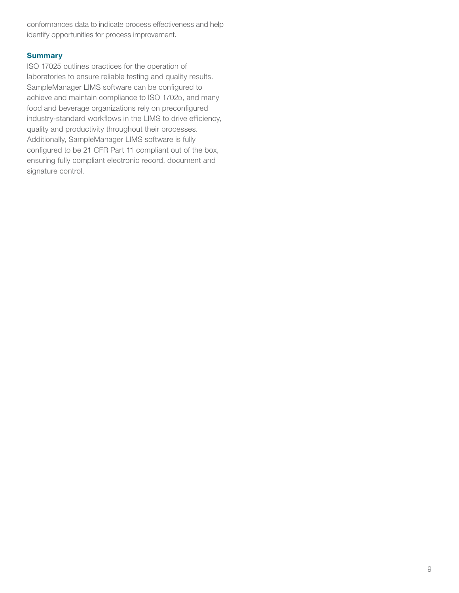conformances data to indicate process effectiveness and help identify opportunities for process improvement.

#### **Summary**

ISO 17025 outlines practices for the operation of laboratories to ensure reliable testing and quality results. SampleManager LIMS software can be configured to achieve and maintain compliance to ISO 17025, and many food and beverage organizations rely on preconfigured industry-standard workflows in the LIMS to drive efficiency, quality and productivity throughout their processes. Additionally, SampleManager LIMS software is fully configured to be 21 CFR Part 11 compliant out of the box, ensuring fully compliant electronic record, document and signature control.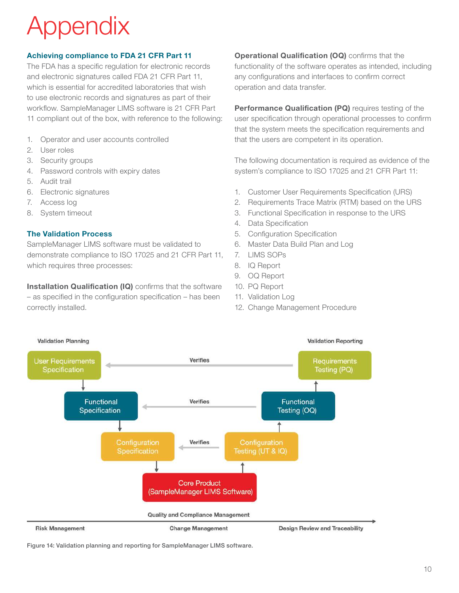# opendix

#### Achieving compliance to FDA 21 CFR Part 11

The FDA has a specific regulation for electronic records and electronic signatures called FDA 21 CFR Part 11, which is essential for accredited laboratories that wish to use electronic records and signatures as part of their workflow. SampleManager LIMS software is 21 CFR Part 11 compliant out of the box, with reference to the following:

- 1. Operator and user accounts controlled
- 2. User roles
- 3. Security groups
- 4. Password controls with expiry dates
- 5. Audit trail
- 6. Electronic signatures
- 7. Access log
- 8. System timeout

#### The Validation Process

SampleManager LIMS software must be validated to demonstrate compliance to ISO 17025 and 21 CFR Part 11, which requires three processes:

Installation Qualification (IQ) confirms that the software – as specified in the configuration specification – has been correctly installed.

**Operational Qualification (OQ)** confirms that the functionality of the software operates as intended, including any configurations and interfaces to confirm correct operation and data transfer.

Performance Qualification (PQ) requires testing of the user specification through operational processes to confirm that the system meets the specification requirements and that the users are competent in its operation.

The following documentation is required as evidence of the system's compliance to ISO 17025 and 21 CFR Part 11:

- 1. Customer User Requirements Specification (URS)
- 2. Requirements Trace Matrix (RTM) based on the URS
- 3. Functional Specification in response to the URS
- 4. Data Specification
- 5. Configuration Specification
- 6. Master Data Build Plan and Log
- 7. LIMS SOPs
- 8. IQ Report
- 9. OQ Report
- 10. PQ Report
- 11. Validation Log
- 12. Change Management Procedure



Figure 14: Validation planning and reporting for SampleManager LIMS software.